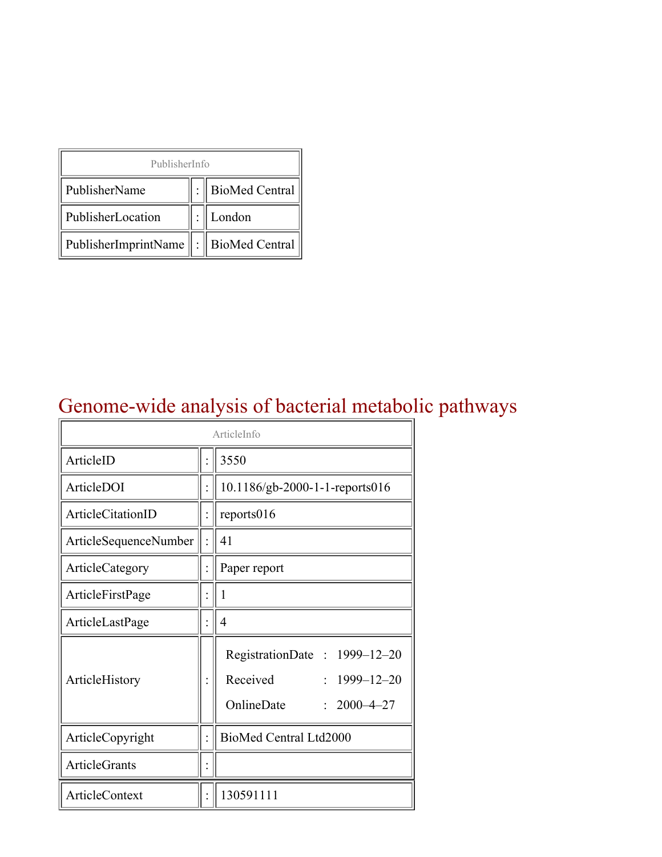| PublisherInfo                                   |  |                    |  |  |
|-------------------------------------------------|--|--------------------|--|--|
| PublisherName                                   |  | :   BioMed Central |  |  |
| PublisherLocation                               |  | London             |  |  |
| PublisherImprintName $\ \cdot\ $ BioMed Central |  |                    |  |  |

### Genome-wide analysis of bacterial metabolic pathways

| ArticleInfo                  |                |                                                                                                 |
|------------------------------|----------------|-------------------------------------------------------------------------------------------------|
| ArticleID                    |                | 3550                                                                                            |
| ArticleDOI                   |                | 10.1186/gb-2000-1-1-reports016                                                                  |
| ArticleCitationID            | $\ddot{\cdot}$ | reports016                                                                                      |
| <b>ArticleSequenceNumber</b> |                | 41                                                                                              |
| ArticleCategory              | $\ddot{\cdot}$ | Paper report                                                                                    |
| ArticleFirstPage             |                | 1                                                                                               |
| ArticleLastPage              |                | $\overline{4}$                                                                                  |
| ArticleHistory               |                | RegistrationDate: 1999-12-20<br>Received<br>$: 1999 - 12 - 20$<br>OnlineDate<br>$2000 - 4 - 27$ |
| ArticleCopyright             |                | BioMed Central Ltd2000                                                                          |
| ArticleGrants                |                |                                                                                                 |
| <b>ArticleContext</b>        |                | 130591111                                                                                       |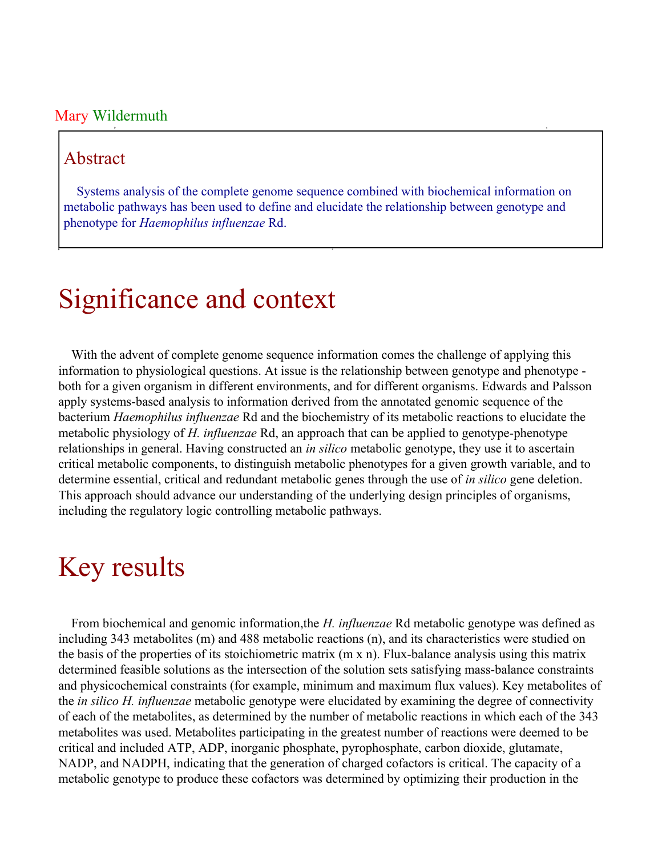#### Mary Wildermuth

#### Abstract

Systems analysis of the complete genome sequence combined with biochemical information on metabolic pathways has been used to define and elucidate the relationship between genotype and phenotype for *Haemophilus influenzae* Rd.

### Significance and context

With the advent of complete genome sequence information comes the challenge of applying this information to physiological questions. At issue is the relationship between genotype and phenotype both for a given organism in different environments, and for different organisms. Edwards and Palsson apply systems-based analysis to information derived from the annotated genomic sequence of the bacterium *Haemophilus influenzae* Rd and the biochemistry of its metabolic reactions to elucidate the metabolic physiology of *H. influenzae* Rd, an approach that can be applied to genotype-phenotype relationships in general. Having constructed an *in silico* metabolic genotype, they use it to ascertain critical metabolic components, to distinguish metabolic phenotypes for a given growth variable, and to determine essential, critical and redundant metabolic genes through the use of *in silico* gene deletion. This approach should advance our understanding of the underlying design principles of organisms, including the regulatory logic controlling metabolic pathways.

### Key results

From biochemical and genomic information,the *H. influenzae* Rd metabolic genotype was defined as including 343 metabolites (m) and 488 metabolic reactions (n), and its characteristics were studied on the basis of the properties of its stoichiometric matrix (m x n). Flux-balance analysis using this matrix determined feasible solutions as the intersection of the solution sets satisfying mass-balance constraints and physicochemical constraints (for example, minimum and maximum flux values). Key metabolites of the *in silico H. influenzae* metabolic genotype were elucidated by examining the degree of connectivity of each of the metabolites, as determined by the number of metabolic reactions in which each of the 343 metabolites was used. Metabolites participating in the greatest number of reactions were deemed to be critical and included ATP, ADP, inorganic phosphate, pyrophosphate, carbon dioxide, glutamate, NADP, and NADPH, indicating that the generation of charged cofactors is critical. The capacity of a metabolic genotype to produce these cofactors was determined by optimizing their production in the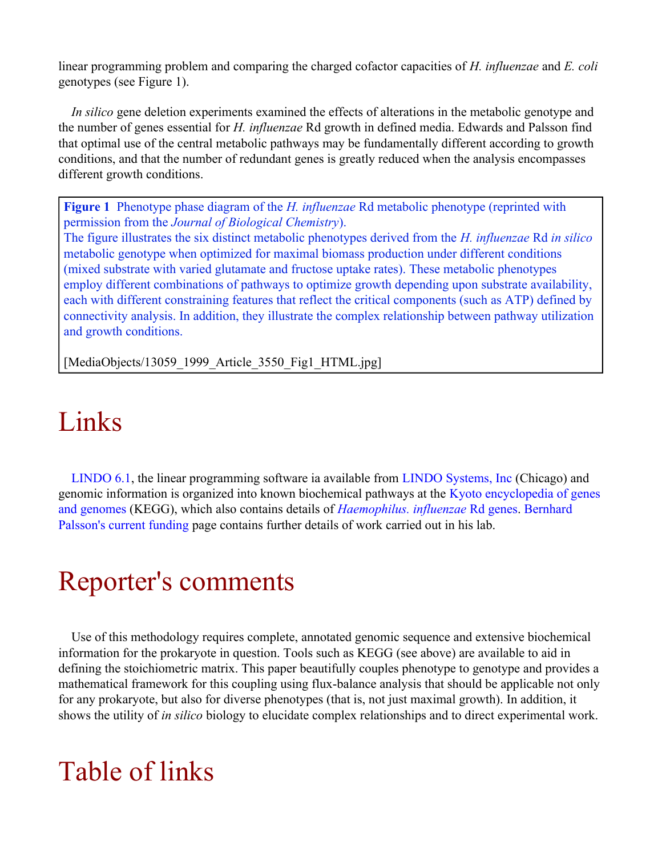linear programming problem and comparing the charged cofactor capacities of *H. influenzae* and *E. coli* genotypes (see Figure 1).

*In silico* gene deletion experiments examined the effects of alterations in the metabolic genotype and the number of genes essential for *H. influenzae* Rd growth in defined media. Edwards and Palsson find that optimal use of the central metabolic pathways may be fundamentally different according to growth conditions, and that the number of redundant genes is greatly reduced when the analysis encompasses different growth conditions.

**Figure 1** Phenotype phase diagram of the *H. influenzae* Rd metabolic phenotype (reprinted with permission from the *Journal of Biological Chemistry*).

The figure illustrates the six distinct metabolic phenotypes derived from the *H. influenzae* Rd *in silico* metabolic genotype when optimized for maximal biomass production under different conditions (mixed substrate with varied glutamate and fructose uptake rates). These metabolic phenotypes employ different combinations of pathways to optimize growth depending upon substrate availability, each with different constraining features that reflect the critical components (such as ATP) defined by connectivity analysis. In addition, they illustrate the complex relationship between pathway utilization and growth conditions.

[MediaObjects/13059\_1999\_Article\_3550\_Fig1\_HTML.jpg]

# Links

[LINDO 6.1](http://www.lindo.com/cgi-bin/frameset.cgi?leftproduct.html;lindof.html), the linear programming software ia available from [LINDO Systems, Inc](http://www.lindo.com) (Chicago) and genomic information is organized into known biochemical pathways at the [Kyoto encyclopedia of genes](http://www.genome.ad.jp/kegg/) [and genomes](http://www.genome.ad.jp/kegg/) (KEGG), which also contains details of *[Haemophilus. influenzae](http://www.genome.ad.jp/dbget-bin/get_htext?H.influenzae.kegg+B/)* Rd genes. [Bernhard](http://www-bioeng.ucsd.edu/research/research_groups/gcrg/CURRENT_FUNDING.html) [Palsson's current funding](http://www-bioeng.ucsd.edu/research/research_groups/gcrg/CURRENT_FUNDING.html) page contains further details of work carried out in his lab.

# Reporter's comments

Use of this methodology requires complete, annotated genomic sequence and extensive biochemical information for the prokaryote in question. Tools such as KEGG (see above) are available to aid in defining the stoichiometric matrix. This paper beautifully couples phenotype to genotype and provides a mathematical framework for this coupling using flux-balance analysis that should be applicable not only for any prokaryote, but also for diverse phenotypes (that is, not just maximal growth). In addition, it shows the utility of *in silico* biology to elucidate complex relationships and to direct experimental work.

# Table of links